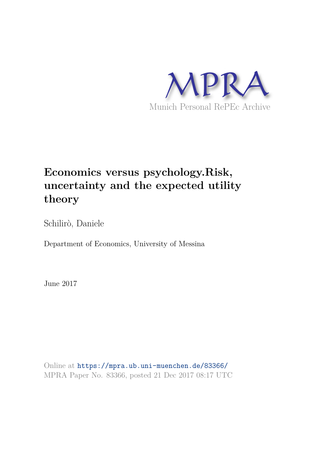

# **Economics versus psychology.Risk, uncertainty and the expected utility theory**

Schilirò, Daniele

Department of Economics, University of Messina

June 2017

Online at https://mpra.ub.uni-muenchen.de/83366/ MPRA Paper No. 83366, posted 21 Dec 2017 08:17 UTC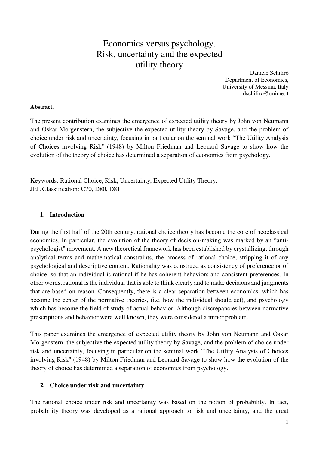# Economics versus psychology. Risk, uncertainty and the expected utility theory

Daniele Schilirò Department of Economics, University of Messina, Italy dschiliro@unime.it

#### **Abstract.**

The present contribution examines the emergence of expected utility theory by John von Neumann and Oskar Morgenstern, the subjective the expected utility theory by Savage, and the problem of choice under risk and uncertainty, focusing in particular on the seminal work "The Utility Analysis of Choices involving Risk" (1948) by Milton Friedman and Leonard Savage to show how the evolution of the theory of choice has determined a separation of economics from psychology.

Keywords: Rational Choice, Risk, Uncertainty, Expected Utility Theory. JEL Classification: C70, D80, D81.

# **1. Introduction**

During the first half of the 20th century, rational choice theory has become the core of neoclassical economics. In particular, the evolution of the theory of decision-making was marked by an "antipsychologist" movement. A new theoretical framework has been established by crystallizing, through analytical terms and mathematical constraints, the process of rational choice, stripping it of any psychological and descriptive content. Rationality was construed as consistency of preference or of choice, so that an individual is rational if he has coherent behaviors and consistent preferences. In other words, rational is the individual that is able to think clearly and to make decisions and judgments that are based on reason. Consequently, there is a clear separation between economics, which has become the center of the normative theories, (i.e. how the individual should act), and psychology which has become the field of study of actual behavior. Although discrepancies between normative prescriptions and behavior were well known, they were considered a minor problem.

This paper examines the emergence of expected utility theory by John von Neumann and Oskar Morgenstern, the subjective the expected utility theory by Savage, and the problem of choice under risk and uncertainty, focusing in particular on the seminal work "The Utility Analysis of Choices involving Risk" (1948) by Milton Friedman and Leonard Savage to show how the evolution of the theory of choice has determined a separation of economics from psychology.

#### **2. Choice under risk and uncertainty**

The rational choice under risk and uncertainty was based on the notion of probability. In fact, probability theory was developed as a rational approach to risk and uncertainty, and the great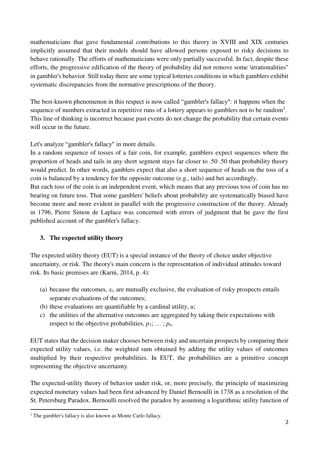mathematicians that gave fundamental contributions to this theory in XVIII and XIX centuries implicitly assumed that their models should have allowed persons exposed to risky decisions to behave rationally. The efforts of mathematicians were only partially successful. In fact, despite these efforts, the progressive edification of the theory of probability did not remove some \irrationalities" in gambler's behavior. Still today there are some typical lotteries conditions in which gamblers exhibit systematic discrepancies from the normative prescriptions of the theory.

The best-known phenomenon in this respect is now called "gambler's fallacy": it happens when the sequence of numbers extracted in repetitive runs of a lottery appears to gamblers not to be random<sup>1</sup>. This line of thinking is incorrect because past events do not change the probability that certain events will occur in the future.

Let's analyze "gambler's fallacy" in more details.

In a random sequence of tosses of a fair coin, for example, gamblers expect sequences where the proportion of heads and tails in any short segment stays far closer to .50 .50 than probability theory would predict. In other words, gamblers expect that also a short sequence of heads on the toss of a coin is balanced by a tendency for the opposite outcome (e.g., tails) and bet accordingly.

But each toss of the coin is an independent event, which means that any previous toss of coin has no bearing on future toss. That some gamblers' beliefs about probability are systematically biased have become more and more evident in parallel with the progressive construction of the theory. Already in 1796, Pierre Simon de Laplace was concerned with errors of judgment that he gave the first published account of the gambler's fallacy.

# **3. The expected utility theory**

The expected utility theory (EUT) is a special instance of the theory of choice under objective uncertainty, or risk. The theory's main concern is the representation of individual attitudes toward risk. Its basic premises are (Karni, 2014, p. 4):

- (a) because the outcomes, *xi*, are mutually exclusive, the evaluation of risky prospects entails separate evaluations of the outcomes;
- (b) these evaluations are quantifiable by a cardinal utility, *u*;
- c) the utilities of the alternative outcomes are aggregated by taking their expectations with respect to the objective probabilities,  $p_1$ ;  $\ldots$ ;  $p_n$ .

EUT states that the decision maker chooses between risky and uncertain prospects by comparing their expected utility values, i.e. the weighted sum obtained by adding the utility values of outcomes multiplied by their respective probabilities. In EUT, the probabilities are a primitive concept representing the objective uncertainty.

The expected-utility theory of behavior under risk, or, more precisely, the principle of maximizing expected monetary values had been first advanced by Daniel Bernoulli in 1738 as a resolution of the St. Petersburg Paradox. Bernoulli resolved the paradox by assuming a logarithmic utility function of

<u>.</u>

<sup>&</sup>lt;sup>1</sup> The gambler's fallacy is also known as Monte Carlo fallacy.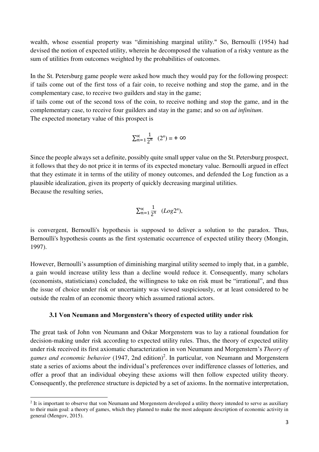wealth, whose essential property was "diminishing marginal utility." So, Bernoulli (1954) had devised the notion of expected utility, wherein he decomposed the valuation of a risky venture as the sum of utilities from outcomes weighted by the probabilities of outcomes.

In the St. Petersburg game people were asked how much they would pay for the following prospect: if tails come out of the first toss of a fair coin, to receive nothing and stop the game, and in the complementary case, to receive two guilders and stay in the game;

if tails come out of the second toss of the coin, to receive nothing and stop the game, and in the complementary case, to receive four guilders and stay in the game; and so on *ad infinitum*.

The expected monetary value of this prospect is

<u>.</u>

$$
\sum_{n=1}^{\infty} \frac{1}{2^n} (2^n) = +\infty
$$

Since the people always set a definite, possibly quite small upper value on the St. Petersburg prospect, it follows that they do not price it in terms of its expected monetary value. Bernoulli argued in effect that they estimate it in terms of the utility of money outcomes, and defended the Log function as a plausible idealization, given its property of quickly decreasing marginal utilities. Because the resulting series,

$$
\sum_{n=1}^{\infty} \frac{1}{2^n} \quad (Log 2^n),
$$

is convergent, Bernoulli's hypothesis is supposed to deliver a solution to the paradox. Thus, Bernoulli's hypothesis counts as the first systematic occurrence of expected utility theory (Mongin, 1997).

However, Bernoulli's assumption of diminishing marginal utility seemed to imply that, in a gamble, a gain would increase utility less than a decline would reduce it. Consequently, many scholars (economists, statisticians) concluded, the willingness to take on risk must be "irrational", and thus the issue of choice under risk or uncertainty was viewed suspiciously, or at least considered to be outside the realm of an economic theory which assumed rational actors.

#### **3.1 Von Neumann and Morgenstern's theory of expected utility under risk**

The great task of John von Neumann and Oskar Morgenstern was to lay a rational foundation for decision-making under risk according to expected utility rules. Thus, the theory of expected utility under risk received its first axiomatic characterization in von Neumann and Morgenstern's *Theory of*  games and economic behavior (1947, 2nd edition)<sup>2</sup>. In particular, von Neumann and Morgenstern state a series of axioms about the individual's preferences over indifference classes of lotteries, and offer a proof that an individual obeying these axioms will then follow expected utility theory. Consequently, the preference structure is depicted by a set of axioms. In the normative interpretation,

 $2$  It is important to observe that von Neumann and Morgenstern developed a utility theory intended to serve as auxiliary to their main goal: a theory of games, which they planned to make the most adequate description of economic activity in general (Mengov, 2015).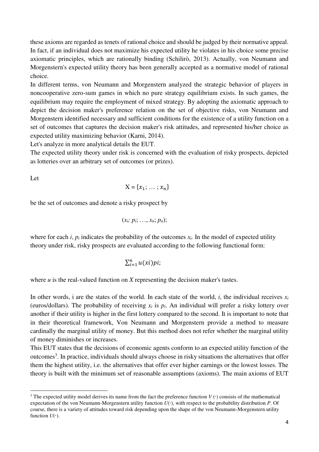these axioms are regarded as tenets of rational choice and should be judged by their normative appeal. In fact, if an individual does not maximize his expected utility he violates in his choice some precise axiomatic principles, which are rationally binding (Schilirò, 2013). Actually, von Neumann and Morgenstern's expected utility theory has been generally accepted as a normative model of rational choice.

In different terms, von Neumann and Morgenstern analyzed the strategic behavior of players in noncooperative zero-sum games in which no pure strategy equilibrium exists. In such games, the equilibrium may require the employment of mixed strategy. By adopting the axiomatic approach to depict the decision maker's preference relation on the set of objective risks, von Neumann and Morgenstern identified necessary and sufficient conditions for the existence of a utility function on a set of outcomes that captures the decision maker's risk attitudes, and represented his/her choice as expected utility maximizing behavior (Karni, 2014).

Let's analyze in more analytical details the EUT.

The expected utility theory under risk is concerned with the evaluation of risky prospects, depicted as lotteries over an arbitrary set of outcomes (or prizes).

Let

 $\overline{a}$ 

$$
X = \{x_1; \ldots; x_n\}
$$

be the set of outcomes and denote a risky prospect by

$$
(x_i; p_i; \ldots, x_n; p_n);
$$

where for each *i*,  $p_i$  indicates the probability of the outcomes  $x_i$ . In the model of expected utility theory under risk, risky prospects are evaluated according to the following functional form:

$$
\sum_{i=1}^n u(xi)pi;
$$

where *u* is the real-valued function on *X* representing the decision maker's tastes.

In other words, i are the states of the world. In each state of the world, *i*, the individual receives  $x_i$ (euros/dollars). The probability of receiving  $x_i$  is  $p_i$ . An individual will prefer a risky lottery over another if their utility is higher in the first lottery compared to the second. It is important to note that in their theoretical framework, Von Neumann and Morgenstern provide a method to measure cardinally the marginal utility of money. But this method does not refer whether the marginal utility of money diminishes or increases.

This EUT states that the decisions of economic agents conform to an expected utility function of the outcomes<sup>3</sup>. In practice, individuals should always choose in risky situations the alternatives that offer them the highest utility, i.e. the alternatives that offer ever higher earnings or the lowest losses. The theory is built with the minimum set of reasonable assumptions (axioms). The main axioms of EUT

<sup>3</sup> The expected utility model derives its name from the fact the preference function *V* (∙) consists of the mathematical expectation of the von Neumann-Morgenstern utility function *U*(∙), with respect to the probability distribution *P*. Of course, there is a variety of attitudes toward risk depending upon the shape of the von Neumann-Morgenstern utility function  $U(·)$ .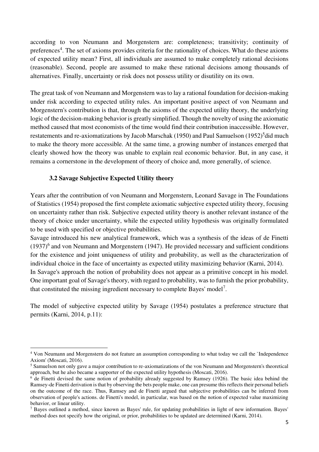according to von Neumann and Morgenstern are: completeness; transitivity; continuity of preferences<sup>4</sup>. The set of axioms provides criteria for the rationality of choices. What do these axioms of expected utility mean? First, all individuals are assumed to make completely rational decisions (reasonable). Second, people are assumed to make these rational decisions among thousands of alternatives. Finally, uncertainty or risk does not possess utility or disutility on its own.

The great task of von Neumann and Morgenstern was to lay a rational foundation for decision-making under risk according to expected utility rules. An important positive aspect of von Neumann and Morgenstern's contribution is that, through the axioms of the expected utility theory, the underlying logic of the decision-making behavior is greatly simplified. Though the novelty of using the axiomatic method caused that most economists of the time would find their contribution inaccessible. However, restatements and re-axiomatizations by Jacob Marschak (1950) and Paul Samuelson (1952)<sup>5</sup>did much to make the theory more accessible. At the same time, a growing number of instances emerged that clearly showed how the theory was unable to explain real economic behavior. But, in any case, it remains a cornerstone in the development of theory of choice and, more generally, of science.

## **3.2 Savage Subjective Expected Utility theory**

 $\overline{a}$ 

Years after the contribution of von Neumann and Morgenstern, Leonard Savage in The Foundations of Statistics (1954) proposed the first complete axiomatic subjective expected utility theory, focusing on uncertainty rather than risk. Subjective expected utility theory is another relevant instance of the theory of choice under uncertainty, while the expected utility hypothesis was originally formulated to be used with specified or objective probabilities.

Savage introduced his new analytical framework, which was a synthesis of the ideas of de Finetti  $(1937)^6$  and von Neumann and Morgenstern (1947). He provided necessary and sufficient conditions for the existence and joint uniqueness of utility and probability, as well as the characterization of individual choice in the face of uncertainty as expected utility maximizing behavior (Karni, 2014). In Savage's approach the notion of probability does not appear as a primitive concept in his model. One important goal of Savage's theory, with regard to probability, was to furnish the prior probability, that constituted the missing ingredient necessary to complete Bayes' model<sup>7</sup>.

The model of subjective expected utility by Savage (1954) postulates a preference structure that permits (Karni, 2014, p.11):

<sup>&</sup>lt;sup>4</sup> Von Neumann and Morgenstern do not feature an assumption corresponding to what today we call the `Independence Axiom' (Moscati, 2016).

<sup>&</sup>lt;sup>5</sup> Samuelson not only gave a major contribution to re-axiomatizations of the von Neumann and Morgenstern's theoretical approach, but he also became a supporter of the expected utility hypothesis (Moscati, 2016).

<sup>&</sup>lt;sup>6</sup> de Finetti devised the same notion of probability already suggested by Ramsey (1926). The basic idea behind the Ramsey-de Finetti derivation is that by observing the bets people make, one can presume this reflects their personal beliefs on the outcome of the race. Thus, Ramsey and de Finetti argued that subjective probabilities can be inferred from observation of people's actions. de Finetti's model, in particular, was based on the notion of expected value maximizing behavior, or linear utility.

<sup>&</sup>lt;sup>7</sup> Bayes outlined a method, since known as Bayes' rule, for updating probabilities in light of new information. Bayes' method does not specify how the original, or prior, probabilities to be updated are determined (Karni, 2014).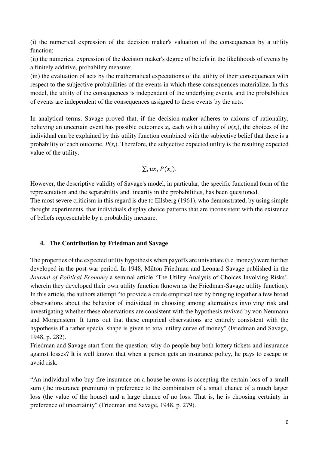(i) the numerical expression of the decision maker's valuation of the consequences by a utility function;

(ii) the numerical expression of the decision maker's degree of beliefs in the likelihoods of events by a finitely additive, probability measure;

(iii) the evaluation of acts by the mathematical expectations of the utility of their consequences with respect to the subjective probabilities of the events in which these consequences materialize. In this model, the utility of the consequences is independent of the underlying events, and the probabilities of events are independent of the consequences assigned to these events by the acts.

In analytical terms, Savage proved that, if the decision-maker adheres to axioms of rationality, believing an uncertain event has possible outcomes  $x_i$ , each with a utility of  $u(x_i)$ , the choices of the individual can be explained by this utility function combined with the subjective belief that there is a probability of each outcome,  $P(x_i)$ . Therefore, the subjective expected utility is the resulting expected value of the utility.

$$
\sum_i ux_i P(x_i).
$$

However, the descriptive validity of Savage's model, in particular, the specific functional form of the representation and the separability and linearity in the probabilities, has been questioned.

The most severe criticism in this regard is due to Ellsberg (1961), who demonstrated, by using simple thought experiments, that individuals display choice patterns that are inconsistent with the existence of beliefs representable by a probability measure.

## **4. The Contribution by Friedman and Savage**

The properties of the expected utility hypothesis when payoffs are univariate (i.e. money) were further developed in the post-war period. In 1948, Milton Friedman and Leonard Savage published in the *Journal of Political Economy* a seminal article 'The Utility Analysis of Choices Involving Risks', wherein they developed their own utility function (known as the Friedman-Savage utility function). In this article, the authors attempt "to provide a crude empirical test by bringing together a few broad observations about the behavior of individual in choosing among alternatives involving risk and investigating whether these observations are consistent with the hypothesis revived by von Neumann and Morgenstern. It turns out that these empirical observations are entirely consistent with the hypothesis if a rather special shape is given to total utility curve of money" (Friedman and Savage, 1948, p. 282).

Friedman and Savage start from the question: why do people buy both lottery tickets and insurance against losses? It is well known that when a person gets an insurance policy, he pays to escape or avoid risk.

"An individual who buy fire insurance on a house he owns is accepting the certain loss of a small sum (the insurance premium) in preference to the combination of a small chance of a much larger loss (the value of the house) and a large chance of no loss. That is, he is choosing certainty in preference of uncertainty" (Friedman and Savage, 1948, p. 279).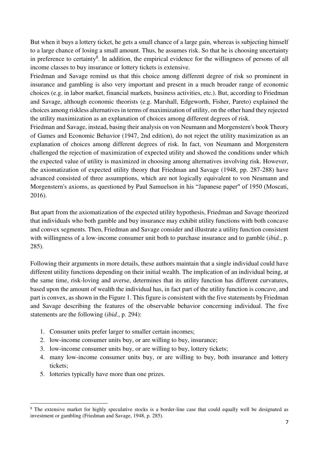But when it buys a lottery ticket, he gets a small chance of a large gain, whereas is subjecting himself to a large chance of losing a small amount. Thus, he assumes risk. So that he is choosing uncertainty in preference to certainty<sup>8</sup>. In addition, the empirical evidence for the willingness of persons of all income classes to buy insurance or lottery tickets is extensive.

Friedman and Savage remind us that this choice among different degree of risk so prominent in insurance and gambling is also very important and present in a much broader range of economic choices (e.g. in labor market, financial markets, business activities, etc.). But, according to Friedman and Savage, although economic theorists (e.g. Marshall, Edgeworth, Fisher, Pareto) explained the choices among riskless alternatives in terms of maximization of utility, on the other hand they rejected the utility maximization as an explanation of choices among different degrees of risk.

Friedman and Savage, instead, basing their analysis on von Neumann and Morgenstern's book Theory of Games and Economic Behavior (1947, 2nd edition), do not reject the utility maximization as an explanation of choices among different degrees of risk. In fact, von Neumann and Morgenstern challenged the rejection of maximization of expected utility and showed the conditions under which the expected value of utility is maximized in choosing among alternatives involving risk. However, the axiomatization of expected utility theory that Friedman and Savage (1948, pp. 287-288) have advanced consisted of three assumptions, which are not logically equivalent to von Neumann and Morgenstern's axioms, as questioned by Paul Samuelson in his "Japanese paper" of 1950 (Moscati, 2016).

But apart from the axiomatization of the expected utility hypothesis, Friedman and Savage theorized that individuals who both gamble and buy insurance may exhibit utility functions with both concave and convex segments. Then, Friedman and Savage consider and illustrate a utility function consistent with willingness of a low-income consumer unit both to purchase insurance and to gamble (*ibid.*, p. 285).

Following their arguments in more details, these authors maintain that a single individual could have different utility functions depending on their initial wealth. The implication of an individual being, at the same time, risk-loving and averse, determines that its utility function has different curvatures, based upon the amount of wealth the individual has, in fact part of the utility function is concave, and part is convex, as shown in the Figure 1. This figure is consistent with the five statements by Friedman and Savage describing the features of the observable behavior concerning individual. The five statements are the following (*ibid*., p. 294):

- 1. Consumer units prefer larger to smaller certain incomes;
- 2. low-income consumer units buy, or are willing to buy, insurance;
- 3. low-income consumer units buy, or are willing to buy, lottery tickets;
- 4. many low-income consumer units buy, or are willing to buy, both insurance and lottery tickets;
- 5. lotteries typically have more than one prizes.

 $\overline{a}$ 

<sup>&</sup>lt;sup>8</sup> The extensive market for highly speculative stocks is a border-line case that could equally well be designated as investment or gambling (Friedman and Savage, 1948, p. 285).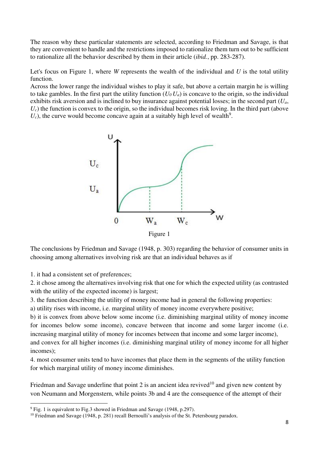The reason why these particular statements are selected, according to Friedman and Savage, is that they are convenient to handle and the restrictions imposed to rationalize them turn out to be sufficient to rationalize all the behavior described by them in their article (*ibid.*, pp. 283-287).

Let's focus on Figure 1, where *W* represents the wealth of the individual and *U* is the total utility function.

Across the lower range the individual wishes to play it safe, but above a certain margin he is willing to take gambles. In the first part the utility function  $(U_0 U_a)$  is concave to the origin, so the individual exhibits risk aversion and is inclined to buy insurance against potential losses; in the second part (*Ua*,  $U_c$ ) the function is convex to the origin, so the individual becomes risk loving. In the third part (above  $U_c$ ), the curve would become concave again at a suitably high level of wealth<sup>9</sup>.



The conclusions by Friedman and Savage (1948, p. 303) regarding the behavior of consumer units in choosing among alternatives involving risk are that an individual behaves as if

1. it had a consistent set of preferences;

 $\overline{a}$ 

2. it chose among the alternatives involving risk that one for which the expected utility (as contrasted with the utility of the expected income) is largest;

3. the function describing the utility of money income had in general the following properties:

a) utility rises with income, i.e. marginal utility of money income everywhere positive;

b) it is convex from above below some income (i.e. diminishing marginal utility of money income for incomes below some income), concave between that income and some larger income (i.e. increasing marginal utility of money for incomes between that income and some larger income), and convex for all higher incomes (i.e. diminishing marginal utility of money income for all higher incomes);

4. most consumer units tend to have incomes that place them in the segments of the utility function for which marginal utility of money income diminishes.

Friedman and Savage underline that point 2 is an ancient idea revived<sup>10</sup> and given new content by von Neumann and Morgenstern, while points 3b and 4 are the consequence of the attempt of their

<sup>&</sup>lt;sup>9</sup> Fig. 1 is equivalent to Fig.3 showed in Friedman and Savage (1948, p.297).

<sup>&</sup>lt;sup>10</sup> Friedman and Savage (1948, p. 281) recall Bernoulli's analysis of the St. Petersbourg paradox.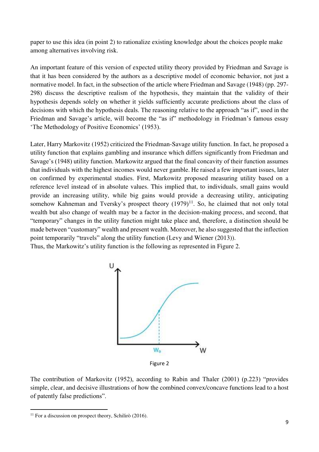paper to use this idea (in point 2) to rationalize existing knowledge about the choices people make among alternatives involving risk.

An important feature of this version of expected utility theory provided by Friedman and Savage is that it has been considered by the authors as a descriptive model of economic behavior, not just a normative model. In fact, in the subsection of the article where Friedman and Savage (1948) (pp. 297- 298) discuss the descriptive realism of the hypothesis, they maintain that the validity of their hypothesis depends solely on whether it yields sufficiently accurate predictions about the class of decisions with which the hypothesis deals. The reasoning relative to the approach "as if", used in the Friedman and Savage's article, will become the "as if" methodology in Friedman's famous essay 'The Methodology of Positive Economics' (1953).

Later, Harry Markovitz (1952) criticized the Friedman-Savage utility function. In fact, he proposed a utility function that explains gambling and insurance which differs significantly from Friedman and Savage's (1948) utility function. Markowitz argued that the final concavity of their function assumes that individuals with the highest incomes would never gamble. He raised a few important issues, later on confirmed by experimental studies. First, Markowitz proposed measuring utility based on a reference level instead of in absolute values. This implied that, to individuals, small gains would provide an increasing utility, while big gains would provide a decreasing utility, anticipating somehow Kahneman and Tversky's prospect theory  $(1979)^{11}$ . So, he claimed that not only total wealth but also change of wealth may be a factor in the decision-making process, and second, that "temporary" changes in the utility function might take place and, therefore, a distinction should be made between "customary" wealth and present wealth. Moreover, he also suggested that the inflection point temporarily "travels" along the utility function (Levy and Wiener (2013)). Thus, the Markowitz's utility function is the following as represented in Figure 2.



Figure 2

The contribution of Markovitz (1952), according to Rabin and Thaler (2001) (p.223) "provides simple, clear, and decisive illustrations of how the combined convex/concave functions lead to a host of patently false predictions".

<sup>&</sup>lt;u>.</u> <sup>11</sup> For a discussion on prospect theory, Schilirò  $(2016)$ .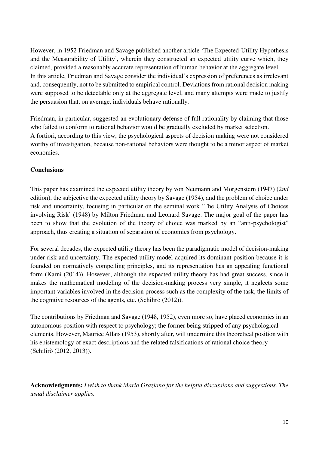However, in 1952 Friedman and Savage published another article 'The Expected-Utility Hypothesis and the Measurability of Utility', wherein they constructed an expected utility curve which, they claimed, provided a reasonably accurate representation of human behavior at the aggregate level. In this article, Friedman and Savage consider the individual's expression of preferences as irrelevant and, consequently, not to be submitted to empirical control. Deviations from rational decision making were supposed to be detectable only at the aggregate level, and many attempts were made to justify the persuasion that, on average, individuals behave rationally.

Friedman, in particular, suggested an evolutionary defense of full rationality by claiming that those who failed to conform to rational behavior would be gradually excluded by market selection. A fortiori, according to this view, the psychological aspects of decision making were not considered worthy of investigation, because non-rational behaviors were thought to be a minor aspect of market economies.

# **Conclusions**

This paper has examined the expected utility theory by von Neumann and Morgenstern (1947) (2*nd*  edition), the subjective the expected utility theory by Savage (1954), and the problem of choice under risk and uncertainty, focusing in particular on the seminal work 'The Utility Analysis of Choices involving Risk' (1948) by Milton Friedman and Leonard Savage. The major goal of the paper has been to show that the evolution of the theory of choice was marked by an "anti-psychologist" approach, thus creating a situation of separation of economics from psychology.

For several decades, the expected utility theory has been the paradigmatic model of decision-making under risk and uncertainty. The expected utility model acquired its dominant position because it is founded on normatively compelling principles, and its representation has an appealing functional form (Karni (2014)). However, although the expected utility theory has had great success, since it makes the mathematical modeling of the decision-making process very simple, it neglects some important variables involved in the decision process such as the complexity of the task, the limits of the cognitive resources of the agents, etc. (Schilirò (2012)).

The contributions by Friedman and Savage (1948, 1952), even more so, have placed economics in an autonomous position with respect to psychology; the former being stripped of any psychological elements. However, Maurice Allais (1953), shortly after, will undermine this theoretical position with his epistemology of exact descriptions and the related falsifications of rational choice theory (Schilirò (2012, 2013)).

**Acknowledgments:** *I wish to thank Mario Graziano for the helpful discussions and suggestions. The usual disclaimer applies.*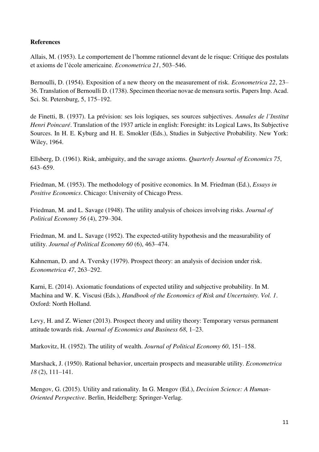# **References**

Allais, M. (1953). Le comportement de l'homme rationnel devant de le risque: Critique des postulats et axioms de l'école americaine. *Econometrica 21*, 503–546.

Bernoulli, D. (1954). Exposition of a new theory on the measurement of risk. *Econometrica 22*, 23– 36. Translation of Bernoulli D. (1738). Specimen theoriae novae de mensura sortis. Papers Imp. Acad. Sci. St. Petersburg, 5, 175–192.

de Finetti, B. (1937). La prévision: ses lois logiques, ses sources subjectives. *Annales de l'Institut Henri Poincaré*. Translation of the 1937 article in english: Foresight: its Logical Laws, Its Subjective Sources. In H. E. Kyburg and H. E. Smokler (Eds.), Studies in Subjective Probability. New York: Wiley, 1964.

Ellsberg, D. (1961). Risk, ambiguity, and the savage axioms. *Quarterly Journal of Economics 75*, 643–659.

Friedman, M. (1953). The methodology of positive economics. In M. Friedman (Ed.), *Essays in Positive Economics*. Chicago: University of Chicago Press.

Friedman, M. and L. Savage (1948). The utility analysis of choices involving risks. *Journal of Political Economy 56* (4), 279–304.

Friedman, M. and L. Savage (1952). The expected-utility hypothesis and the measurability of utility. *Journal of Political Economy 60* (6), 463–474.

Kahneman, D. and A. Tversky (1979). Prospect theory: an analysis of decision under risk. *Econometrica 47*, 263–292.

Karni, E. (2014). Axiomatic foundations of expected utility and subjective probability. In M. Machina and W. K. Viscusi (Eds.), *Handbook of the Economics of Risk and Uncertainty. Vol. 1*. Oxford: North Holland.

Levy, H. and Z. Wiener (2013). Prospect theory and utility theory: Temporary versus permanent attitude towards risk. *Journal of Economics and Business 68*, 1–23.

Markovitz, H. (1952). The utility of wealth. *Journal of Political Economy 60*, 151–158.

Marshack, J. (1950). Rational behavior, uncertain prospects and measurable utility. *Econometrica 18* (2), 111–141.

Mengov, G. (2015). Utility and rationality. In G. Mengov (Ed.), *Decision Science: A Human-Oriented Perspective*. Berlin, Heidelberg: Springer-Verlag.